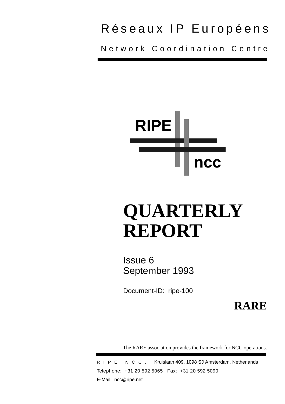## Réseaux IP Européens

Network Coordination Centre



# **QUARTERLY REPORT**

Issue 6 September 1993

Document-ID: ripe-100

**RARE**

The RARE association provides the framework for NCC operations.

RIPE NCC, Kruislaan 409, 1098 SJ Amsterdam, Netherlands Telephone: +31 20 592 5065 Fax: +31 20 592 5090 E-Mail: ncc@ripe.net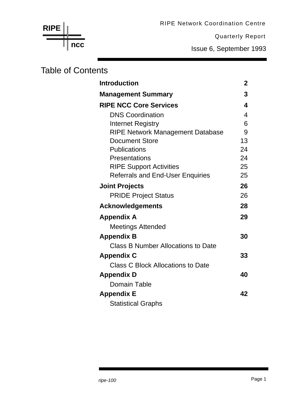RIPE Network Coordination Centre

Quarterly Report

Issue 6, September 1993

## Table of Contents

**ncc**

**RIPE**

| <b>Introduction</b>                       | $\mathbf 2$ |
|-------------------------------------------|-------------|
| <b>Management Summary</b>                 | 3           |
| <b>RIPE NCC Core Services</b>             | 4           |
| <b>DNS Coordination</b>                   | 4           |
| <b>Internet Registry</b>                  | 6           |
| <b>RIPE Network Management Database</b>   | 9           |
| <b>Document Store</b>                     | 13          |
| <b>Publications</b>                       | 24          |
| Presentations                             | 24          |
| <b>RIPE Support Activities</b>            | 25          |
| <b>Referrals and End-User Enquiries</b>   | 25          |
| <b>Joint Projects</b>                     | 26          |
| <b>PRIDE Project Status</b>               | 26          |
| <b>Acknowledgements</b>                   | 28          |
| <b>Appendix A</b>                         | 29          |
| Meetings Attended                         |             |
| <b>Appendix B</b>                         | 30          |
| <b>Class B Number Allocations to Date</b> |             |
| <b>Appendix C</b>                         | 33          |
| <b>Class C Block Allocations to Date</b>  |             |
| <b>Appendix D</b>                         | 40          |
| <b>Domain Table</b>                       |             |
| <b>Appendix E</b>                         | 42          |
| <b>Statistical Graphs</b>                 |             |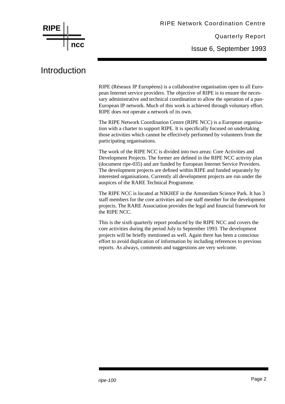

### Introduction

RIPE (Réseaux IP Européens) is a collaborative organisation open to all European Internet service providers. The objective of RIPE is to ensure the necessary administrative and technical coordination to allow the operation of a pan-European IP network. Much of this work is achieved through voluntary effort. RIPE does *not* operate a network of its own.

The RIPE Network Coordination Centre (RIPE NCC) is a European organisation with a charter to support RIPE. It is specifically focused on undertaking those activities which cannot be effectively performed by volunteers from the participating organisations.

The work of the RIPE NCC is divided into two areas: Core Activities and Development Projects. The former are defined in the RIPE NCC activity plan (document ripe-035) and are funded by European Internet Service Providers. The development projects are defined within RIPE and funded separately by interested organisations. Currently all development projects are run under the auspices of the RARE Technical Programme.

The RIPE NCC is located at NIKHEF in the Amsterdam Science Park. It has 3 staff members for the core activities and one staff member for the development projects. The RARE Association provides the legal and financial framework for the RIPE NCC.

This is the sixth quarterly report produced by the RIPE NCC and covers the core activities during the period July to September 1993. The development projects will be briefly mentioned as well. Again there has been a conscious effort to avoid duplication of information by including references to previous reports. As always, comments and suggestions are very welcome.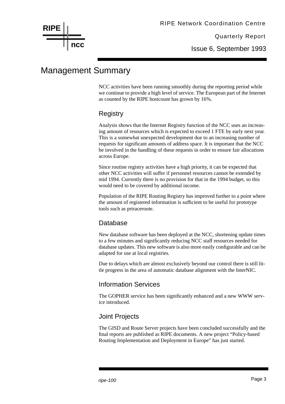

Issue 6, September 1993

## Management Summary

NCC activities have been running smoothly during the reporting period while we continue to provide a high level of service. The European part of the Internet as counted by the RIPE hostcount has grown by 16%.

#### **Registry**

Analysis shows that the Internet Registry function of the NCC uses an increasing amount of resources which is expected to exceed 1 FTE by early next year. This is a somewhat unexpected development due to an increasing number of requests for significant amounts of address space. It is important that the NCC be involved in the handling of these requests in order to ensure fair allocations across Europe.

Since routine registry activities have a high priority, it can be expected that other NCC activities will suffer if personnel resources cannot be extended by mid 1994. Currently there is no provision for that in the 1994 budget, so this would need to be covered by additional income.

Population of the RIPE Routing Registry has improved further to a point where the amount of registered information is sufficient to be useful for prototype tools such as prtraceroute.

#### Database

New database software has been deployed at the NCC, shortening update times to a few minutes and significantly reducing NCC staff resources needed for database updates. This new software is also more easily configurable and can be adapted for use at local registries.

Due to delays which are almost exclusively beyond our control there is still little progress in the area of automatic database alignment with the InterNIC.

#### Information Services

The GOPHER service has been significantly enhanced and a new WWW service introduced.

#### Joint Projects

The GISD and Route Server projects have been concluded successfully and the final reports are published as RIPE documents. A new project "Policy-based Routing Implementation and Deployment in Europe" has just started.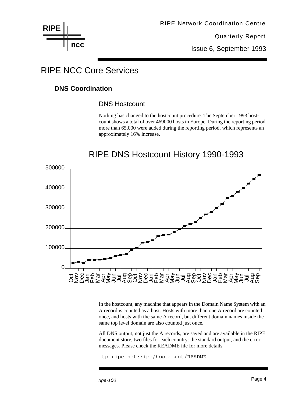**RIPE ncc**

## RIPE NCC Core Services

#### **DNS Coordination**

#### DNS Hostcount

Nothing has changed to the hostcount procedure. The September 1993 hostcount shows a total of over 469000 hosts in Europe. During the reporting period more than 65,000 were added during the reporting period, which represents an approximately 16% increase.

## RIPE DNS Hostcount History 1990-1993



In the hostcount, any machine that appears in the Domain Name System with an A record is counted as a host. Hosts with more than one A record are counted once, and hosts with the same A record, but different domain names inside the same top level domain are also counted just once.

All DNS output, not just the A records, are saved and are available in the RIPE document store, two files for each country: the standard output, and the error messages. Please check the README file for more details

ftp.ripe.net:ripe/hostcount/README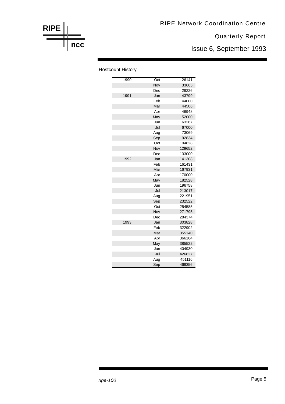## **RIPE ncc**

#### Quarterly Report

Issue 6, September 1993

#### Hostcount History

| 1990 | Oct | 26141  |
|------|-----|--------|
|      | Nov | 33665  |
|      | Dec | 29226  |
| 1991 | Jan | 43799  |
|      | Feb | 44000  |
|      | Mar | 44506  |
|      | Apr | 46948  |
|      | May | 52000  |
|      | Jun | 63267  |
|      | Jul | 67000  |
|      | Aug | 73069  |
|      | Sep | 92834  |
|      | Oct | 104828 |
|      | Nov | 129652 |
|      | Dec | 133000 |
| 1992 | Jan | 141308 |
|      | Feb | 161431 |
|      | Mar | 167931 |
|      | Apr | 170000 |
|      | May | 182528 |
|      | Jun | 196758 |
|      | Jul | 213017 |
|      | Aug | 221951 |
|      | Sep | 232522 |
|      | Oct | 254585 |
|      | Nov | 271795 |
|      | Dec | 284374 |
| 1993 | Jan | 303828 |
|      | Feb | 322902 |
|      | Mar | 355140 |
|      | Apr | 366164 |
|      | May | 385522 |
|      | Jun | 404930 |
|      | Jul | 426827 |
|      | Aug | 451116 |
|      | Sep | 469356 |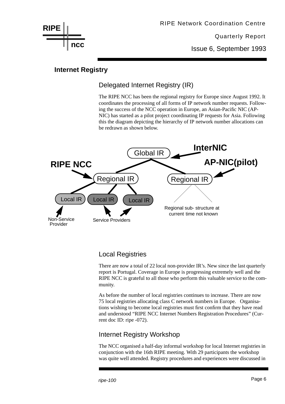

Issue 6, September 1993

#### **Internet Registry**

#### Delegated Internet Registry (IR)

The RIPE NCC has been the regional registry for Europe since August 1992. It coordinates the processing of all forms of IP network number requests. Following the success of the NCC operation in Europe, an Asian-Pacific NIC (AP-NIC) has started as a pilot project coordinating IP requests for Asia. Following this the diagram depicting the hierarchy of IP network number allocations can be redrawn as shown below.



#### Local Registries

There are now a total of 22 local non-provider IR's. New since the last quarterly report is Portugal. Coverage in Europe is progressing extremely well and the RIPE NCC is grateful to all those who perform this valuable service to the community.

As before the number of local registries continues to increase. There are now 75 local registries allocating class C network numbers in Europe. Organisations wishing to become local registries must first confirm that they have read and understood "RIPE NCC Internet Numbers Registration Procedures" (Current doc ID: ripe -072).

#### Internet Registry Workshop

The NCC organised a half-day informal workshop for local Internet registries in conjunction with the 16th RIPE meeting. With 29 participants the workshop was quite well attended. Registry procedures and experiences were discussed in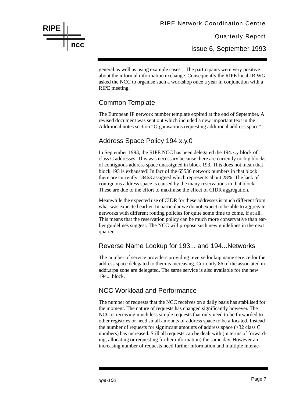Issue 6, September 1993

general as well as using example cases. The participants were very positive about the informal information exchange. Consequently the RIPE local-IR WG asked the NCC to organise such a workshop once a year in conjunction with a RIPE meeting.

#### Common Template

**RIPE**

**ncc**

The European IP network number template expired at the end of September. A revised document was sent out which included a new important text in the Additional notes section "Organisations requesting additional address space".

#### Address Space Policy 194.x.y.0

In September 1993, the RIPE NCC has been delegated the 194.x.y block of class C addresses. This was necessary because there are currently no big blocks of contiguous address space unassigned in block 193. This does not mean that block 193 is exhausted! In fact of the 65536 network numbers in that block there are currently 18463 assigned which represents about 28%. The lack of contiguous address space is caused by the many reservations in that block. These are due to the effort to maximise the effect of CIDR aggregation.

Meanwhile the expected use of CIDR for these addresses is much different from what was expected earlier. In particular we do not expect to be able to aggregate networks with different routing policies for quite some time to come, if at all. This means that the reservation policy can be much more conservative than earlier guidelines suggest. The NCC will propose such new guidelines in the next quarter.

#### Reverse Name Lookup for 193... and 194...Networks

The number of service providers providing reverse lookup name service for the address space delegated to them is increasing. Currently 86 of the associated inaddr.arpa zone are delegated. The same service is also available for the new 194... block.

#### NCC Workload and Performance

The number of requests that the NCC receives on a daily basis has stabilised for the moment. The nature of requests has changed significantly however. The NCC is receiving much less simple requests that only need to be forwarded to other registries or need small amounts of address space to be allocated. Instead the number of requests for significant amounts of address space (>32 class C numbers) has increased. Still all requests can be dealt with (in terms of forwarding, allocating or requesting further information) the same day. However an increasing number of requests need further information and multiple interac-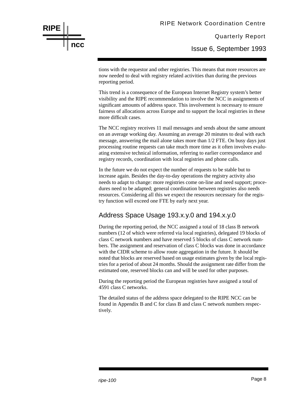Issue 6, September 1993

tions with the requestor and other registries. This means that more resources are now needed to deal with registry related activities than during the previous reporting period.

This trend is a consequence of the European Internet Registry system's better visibility and the RIPE recommendation to involve the NCC in assignments of significant amounts of address space. This involvement is necessary to ensure fairness of allocations across Europe and to support the local registries in these more difficult cases.

The NCC registry receives 11 mail messages and sends about the same amount on an average working day. Assuming an average 20 minutes to deal with each message, answering the mail alone takes more than 1/2 FTE. On busy days just processing routine requests can take much more time as it often involves evaluating extensive technical information, referring to earlier correspondance and registry records, coordination with local registries and phone calls.

In the future we do not expect the number of requests to be stable but to increase again. Besides the day-to-day operations the registry activity also needs to adapt to change: more registries come on-line and need support; procedures need to be adapted; general coordination between registries also needs resources. Considering all this we expect the resources necessary for the registry function will exceed one FTE by early next year.

#### Address Space Usage 193.x.y.0 and 194.x.y.0

During the reporting period, the NCC assigned a total of 18 class B network numbers (12 of which were referred via local registries), delegated 19 blocks of class C network numbers and have reserved 5 blocks of class C network numbers. The assignment and reservation of class C blocks was done in accordance with the CIDR scheme to allow route aggregation in the future. It should be noted that blocks are reserved based on usage estimates given by the local registries for a period of about 24 months. Should the assignment rate differ from the estimated one, reserved blocks can and will be used for other purposes.

During the reporting period the European registries have assigned a total of 4591 class C networks.

The detailed status of the address space delegated to the RIPE NCC can be found in Appendix B and C for class B and class C network numbers respectively.

## **RIPE ncc**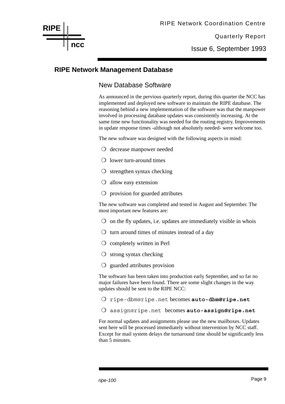Issue 6, September 1993

#### **RIPE Network Management Database**

#### New Database Software

As announced in the pervious quarterly report, during this quarter the NCC has implemented and deployed new software to maintain the RIPE database. The reasoning behind a new implementation of the software was that the manpower involved in processing database updates was consistently increasing. At the same time new functionality was needed for the routing registry. Improvements in update response times -although not absolutely needed- were welcome too.

The new software was designed with the following aspects in mind:

- ❍ decrease manpower needed
- ❍ lower turn-around times
- ❍ strengthen syntax checking
- ❍ allow easy extension
- ❍ provision for guarded attributes

The new software was completed and tested in August and September. The most important new features are:

- $\overline{O}$  on the fly updates, i.e. updates are immediately visible in whois
- ❍ turn around times of minutes instead of a day
- ❍ completely written in Perl
- ❍ strong syntax checking
- ❍ guarded attributes provision

The software has been taken into production early September, and so far no major failures have been found. There are some slight changes in the way updates should be sent to the RIPE NCC:

- ❍ ripe-dbm@ripe.net becomes **auto-dbm@ripe.net**
- ❍ assign@ripe.net becomes **auto-assign@ripe.net**

For normal updates and assignments please use the new mailboxes. Updates sent here will be processed immediately without intervention by NCC staff. Except for mail system delays the turnaround time should be significantly less than 5 minutes.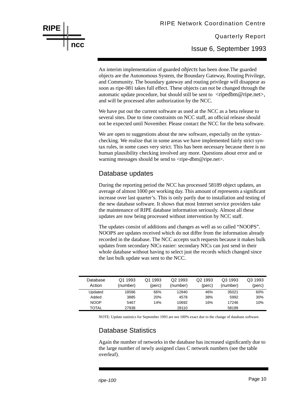An interim implementation of guarded *objects* has been done.The guarded objects are the Autonomous System, the Boundary Gateway, Routing Privilege, and Community. The boundary gateway and routing privilege will disappear as soon as ripe-081 takes full effect. These objects can *not* be changed through the automatic update procedure, but should still be sent to  $\langle$ ripedbm@ripe.net $\rangle$ , and will be processed after authorization by the NCC.

We have put out the current software as used at the NCC as a beta release to several sites. Due to time constraints on NCC staff, an official release should not be expected until November. Please contact the NCC for the beta software.

We are open to suggestions about the new software, especially on the syntaxchecking. We realize that in some areas we have implemented fairly strict syntax rules, in some cases very strict. This has been necessary because there is no human plausibility checking involved any more. Questions about error and or warning messages should be send to <ripe-dbm@ripe.net>.

#### Database updates

**RIPE**

**ncc**

During the reporting period the NCC has processed 58189 object updates, an average of almost 1000 per working day. This amount of represents a significant increase over last quarter's. This is only partly due to installation and testing of the new database software. It shows that most Internet service providers take the maintenance of RIPE database information seriously. Almost all these updates are now being processed without intervention by NCC staff.

The updates consist of additions and changes as well as so called "NOOPS". NOOPS are updates received which do not differ from the information already recorded in the database. The NCC accepts such requests because it makes bulk updates from secondary NICs easier: secondary NICs can just send in their whole database without having to select just the records which changed since the last bulk update was sent to the NCC.

| Database<br>Action | Q1 1993<br>(number) | Q1 1993<br>(perc) | Q <sub>2</sub> 1993<br>(number) | Q <sub>2</sub> 1993<br>(perc) | Q3 1993<br>(number) | Q3 1993<br>(perc) |
|--------------------|---------------------|-------------------|---------------------------------|-------------------------------|---------------------|-------------------|
| Updated            | 18586               | 66%               | 12840                           | 46%                           | 35021               | 60%               |
| Added              | 3885                | <b>20%</b>        | 4578                            | 38%                           | 5992                | 30%               |
| <b>NOOP</b>        | 5467                | 14%               | 10692                           | 16%                           | 17246               | 10%               |
| TOTAL              | 27938               |                   | 28110                           |                               | 58189               |                   |

NOTE: Update statistics for September 1993 are not 100% exact due to the change of database software.

#### Database Statistics

Again the number of networks in the database has increased significantly due to the large number of newly assigned class C network numbers (see the table overleaf).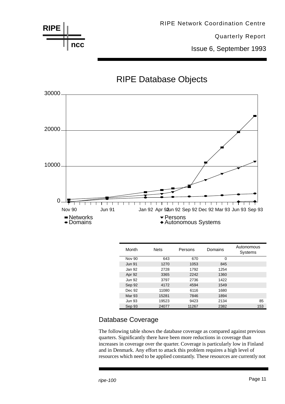



### RIPE Database Objects

| Month         | <b>Nets</b> | Persons | Domains | Autonomous<br>Systems |
|---------------|-------------|---------|---------|-----------------------|
| <b>Nov 90</b> | 643         | 670     | 0       |                       |
| <b>Jun 91</b> | 1270        | 1053    | 845     |                       |
| Jan 92        | 2728        | 1792    | 1254    |                       |
| Apr 92        | 3365        | 2242    | 1360    |                       |
| <b>Jun 92</b> | 3797        | 2736    | 1422    |                       |
| Sep 92        | 4172        | 4594    | 1549    |                       |
| Dec 92        | 11080       | 6116    | 1680    |                       |
| <b>Mar 93</b> | 15281       | 7846    | 1894    |                       |
| <b>Jun 93</b> | 19523       | 9423    | 2134    | 85                    |
| Sep 93        | 24077       | 11267   | 2382    | 153                   |

#### Database Coverage

The following table shows the database coverage as compared against previous quarters. Significantly there have been more reductions in coverage than increases in coverage over the quarter. Coverage is particularly low in Finland and in Denmark. Any effort to attack this problem requires a high level of resources which need to be applied constantly. These resources are currently not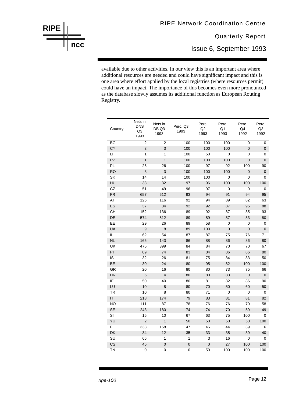## RIPE Network Coordination Centre

Quarterly Report

Issue 6, September 1993

available due to other activities. In our view this is an important area where additional resources are needed and could have significant impact and this is one area where effort applied by the local registries (where resources permit) could have an impact. The importance of this becomes even more pronounced as the database slowly assumes its additional function as European Routing Registry.

| Country         | Nets in<br><b>DNS</b><br>Q <sub>3</sub><br>1993 | Nets in<br>DB Q3<br>1993 | Perc. Q3<br>1993 | Perc.<br>Q2<br>1993 | Perc.<br>Q1<br>1993 | Perc.<br>Q4<br>1992 | Perc.<br>Q3<br>1992 |
|-----------------|-------------------------------------------------|--------------------------|------------------|---------------------|---------------------|---------------------|---------------------|
| $\overline{BG}$ | $\overline{2}$                                  | $\overline{2}$           | 100              | 100                 | 100                 | $\overline{0}$      | $\overline{0}$      |
| CY              | 3                                               | $\mathfrak{B}$           | 100              | 100                 | 100                 | $\mathbf 0$         | $\pmb{0}$           |
| LI.             | 1                                               | $\mathbf{1}$             | 100              | 50                  | $\mathbf 0$         | 0                   | $\mathbf 0$         |
| LV              | $\mathbf{1}$                                    | $\mathbf{1}$             | 100              | 100                 | 100                 | $\mathbf 0$         | 0                   |
| PL              | 26                                              | 26                       | 100              | 97                  | 92                  | 100                 | 90                  |
| <b>RO</b>       | $\mathsf 3$                                     | 3                        | 100              | 100                 | 100                 | $\pmb{0}$           | $\pmb{0}$           |
| SK              | 14                                              | 14                       | 100              | 100                 | 0                   | 0                   | 0                   |
| HU              | 33                                              | 32                       | 97               | 96                  | 100                 | 100                 | 100                 |
| CZ              | 51                                              | 49                       | 96               | 97                  | 0                   | 0                   | 0                   |
| FR.             | 657                                             | 612                      | 93               | 94                  | 91                  | 94                  | 95                  |
| AT              | 126                                             | 116                      | 92               | 94                  | 89                  | 82                  | 63                  |
| ES              | 37                                              | 34                       | 92               | 92                  | 87                  | 95                  | 88                  |
| CH              | 152                                             | 136                      | 89               | 92                  | 87                  | 85                  | 93                  |
| DE              | 574                                             | 512                      | 89               | 89                  | 87                  | 83                  | 80                  |
| EE              | 29                                              | 26                       | 89               | 58                  | 0                   | 0                   | 0                   |
| UA              | 9                                               | 8                        | 89               | 100                 | $\mathbf 0$         | $\mathbf 0$         | $\mathbf 0$         |
| IL.             | 62                                              | 54                       | 87               | 87                  | 75                  | 76                  | 71                  |
| <b>NL</b>       | 165                                             | 143                      | 86               | 88                  | 86                  | 86                  | 80                  |
| UK              | 475                                             | 399                      | 84               | 84                  | 70                  | 70                  | 67                  |
| PT              | 89                                              | 74                       | 83               | 84                  | 86                  | 86                  | 80                  |
| IS              | 32                                              | 26                       | 81               | 75                  | 84                  | 83                  | 50                  |
| BE              | 30                                              | 24                       | 80               | 95                  | 82                  | 100                 | 100                 |
| GR              | 20                                              | 16                       | 80               | 80                  | 73                  | 75                  | 66                  |
| HR              | $\sqrt{5}$                                      | $\overline{4}$           | 80               | 80                  | 83                  | $\mathsf{O}\xspace$ | $\mathbf 0$         |
| IE.             | 50                                              | 40                       | 80               | 81                  | 82                  | 86                  | 90                  |
| LU              | 10                                              | 8                        | 80               | 70                  | 50                  | 60                  | 50                  |
| TR              | 10                                              | 8                        | 80               | 71                  | 0                   | 0                   | 0                   |
| ΙT              | 218                                             | 174                      | 79               | 83                  | 81                  | 81                  | 82                  |
| NO.             | 111                                             | 87                       | 78               | 76                  | 76                  | 70                  | 58                  |
| <b>SE</b>       | 243                                             | 180                      | 74               | 74                  | 70                  | 59                  | 49                  |
| SI              | 15                                              | 10                       | 67               | 63                  | 75                  | 100                 | 0                   |
| YU              | $\mathbf 2$                                     | $\overline{1}$           | 50               | 50                  | 50                  | 50                  | 100                 |
| FI              | 333                                             | 158                      | 47               | 45                  | 44                  | 39                  | 6                   |
| DK              | 34                                              | 12                       | 35               | 33                  | 35                  | 39                  | 40                  |
| SU              | 66                                              | 1                        | 1                | 3                   | 16                  | 0                   | 0                   |
| CS              | 45                                              | $\mathsf 0$              | $\mathbf 0$      | $\mathbf 0$         | 27                  | 100                 | 100                 |
| TN              | 0                                               | 0                        | 0                | 50                  | 100                 | 100                 | 100                 |

**RIPE**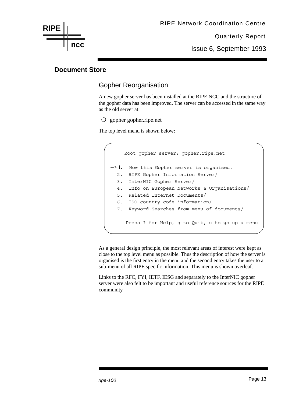Issue 6, September 1993

#### **Document Store**

**ncc**

**RIPE**

#### Gopher Reorganisation

A new gopher server has been installed at the RIPE NCC and the structure of the gopher data has been improved. The server can be accessed in the same way as the old server at:

❍ gopher gopher.ripe.net

The top level menu is shown below:

```
 Root gopher server: gopher.ripe.net
--> 1. How this Gopher server is organised.
   2. RIPE Gopher Information Server/
   3. InterNIC Gopher Server/
   4. Info on European Networks & Organisations/
   5. Related Internet Documents/
   6. ISO country code information/
   7. Keyword Searches from menu of documents/
      Press ? for Help, q to Quit, u to go up a menu
```
As a general design principle, the most relevant areas of interest were kept as close to the top level menu as possible. Thus the description of how the server is organised is the first entry in the menu and the second entry takes the user to a sub-menu of all RIPE specific information. This menu is shown overleaf.

Links to the RFC, FYI, IETF, IESG and separately to the InterNIC gopher server were also felt to be important and useful reference sources for the RIPE community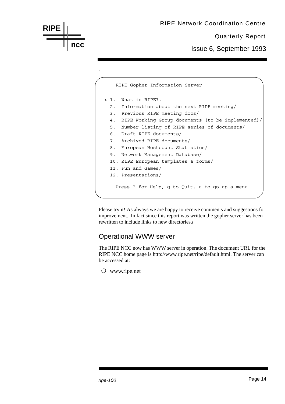

Press ? for Help, q to Quit, u to go up a menu

Please try it! As always we are happy to receive comments and suggestions for improvement. In fact since this report was written the gopher server has been rewritten to include links to new directories.s

#### Operational WWW server

The RIPE NCC now has WWW server in operation. The document URL for the RIPE NCC home page is http://www.ripe.net/ripe/default.html. The server can be accessed at:

❍ www.ripe.net

**RIPE**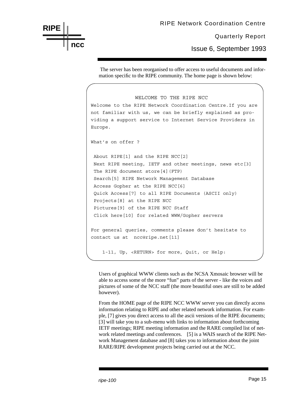## **RIPE ncc**

#### RIPE Network Coordination Centre

Quarterly Report

Issue 6, September 1993

 The server has been reorganised to offer access to useful documents and information specific to the RIPE community. The home page is shown below:

```
 WELCOME TO THE RIPE NCC
Welcome to the RIPE Network Coordination Centre.If you are
not familiar with us, we can be briefly explained as pro-
viding a support service to Internet Service Providers in
Europe.
What's on offer ?
  About RIPE[1] and the RIPE NCC[2]
  Next RIPE meeting, IETF and other meetings, news etc[3]
 The RIPE document store[4](FTP)
  Search[5] RIPE Network Management Database
  Access Gopher at the RIPE NCC[6]
  Quick Access[7] to all RIPE Documents (ASCII only)
  Projects[8] at the RIPE NCC
  Pictures[9] of the RIPE NCC Staff
  Click here[10] for related WWW/Gopher servers
For general queries, comments please don't hesitate to
contact us at ncc@ripe.net[11]
     1-11, Up, <RETURN> for more, Quit, or Help:
```
Users of graphical WWW clients such as the NCSA Xmosaic browser will be able to access some of the more "fun" parts of the server - like the voices and pictures of some of the NCC staff (the more beautiful ones are still to be added however).

From the HOME page of the RIPE NCC WWW server you can directly access information relating to RIPE and other related network information. For example, [7] gives you direct access to all the ascii versions of the RIPE documents; [3] will take you to a sub-menu with links to information about forthcoming IETF meetings; RIPE meeting information and the RARE compiled list of network related meetings and conferences. [5] is a WAIS search of the RIPE Network Management database and [8] takes you to information about the joint RARE/RIPE development projects being carried out at the NCC.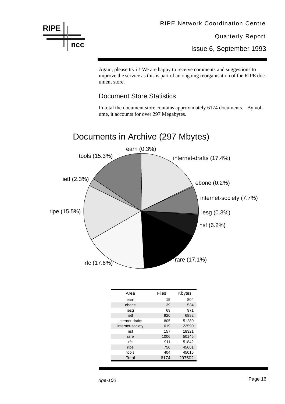

Issue 6, September 1993

Again, please try it! We are happy to receive comments and suggestions to improve the service as this is part of an ongoing reorganisation of the RIPE document store.

#### Document Store Statistics

In total the document store contains approximately 6174 documents. By volume, it accounts for over 297 Megabytes.



| Area             | Files | Kbytes |
|------------------|-------|--------|
| earn             | 15    | 804    |
| ebone            | 39    | 534    |
| iesg             | 69    | 971    |
| ietf             | 920   | 6882   |
| internet-drafts  | 805   | 51280  |
| internet-society | 1019  | 22590  |
| nsf              | 157   | 18321  |
| rare             | 1006  | 50145  |
| rfc.             | 911   | 51842  |
| ripe             | 750   | 45661  |
| tools            | 404   | 45015  |
| Total            | 6174  | 297502 |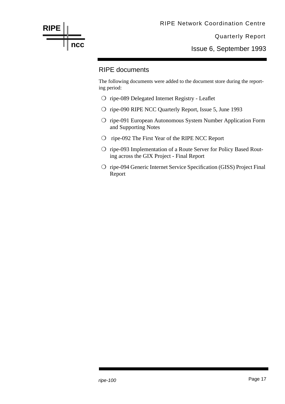

Issue 6, September 1993

#### RIPE documents

The following documents were added to the document store during the reporting period:

- ❍ ripe-089 Delegated Internet Registry Leaflet
- ❍ ripe-090 RIPE NCC Quarterly Report, Issue 5, June 1993
- ❍ ripe-091 European Autonomous System Number Application Form and Supporting Notes
- ❍ ripe-092 The First Year of the RIPE NCC Report
- ❍ ripe-093 Implementation of a Route Server for Policy Based Routing across the GIX Project - Final Report
- ❍ ripe-094 Generic Internet Service Specification (GISS) Project Final Report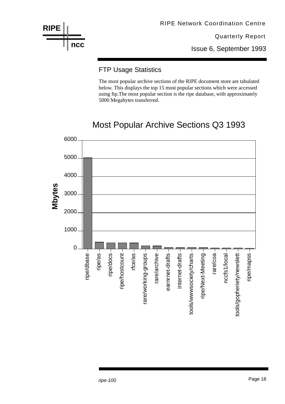

Issue 6, September 1993

#### FTP Usage Statistics

The most popular archive sections of the RIPE document store are tabulated below. This displays the top 15 most popular sections which were accessed using ftp.The most popular section is the ripe database, with approximately 5000 Megabytes transferred.

## Most Popular Archive Sections Q3 1993

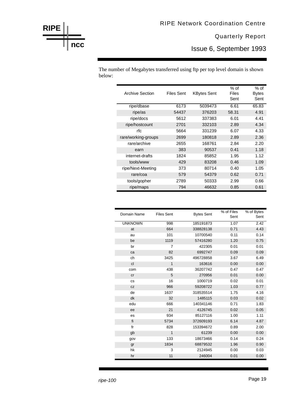Issue 6, September 1993

The number of Megabytes transferred using ftp per top level domain is shown below:

| <b>Archive Section</b> | Files Sent | <b>KBytes Sent</b> | $%$ of<br>Files<br>Sent | $%$ of<br><b>Bytes</b><br>Sent |
|------------------------|------------|--------------------|-------------------------|--------------------------------|
| ripe/dbase             | 6173       | 5039473            | 6.61                    | 65.83                          |
| ripe/as                | 54437      | 376203             | 58.31                   | 4.91                           |
| ripe/docs              | 5612       | 337383             | 6.01                    | 4.41                           |
| ripe/hostcount         | 2701       | 332103             | 2.89                    | 4.34                           |
| rfc                    | 5664       | 331239             | 6.07                    | 4.33                           |
| rare/working-groups    | 2699       | 180818             | 2.89                    | 2.36                           |
| rare/archive           | 2655       | 168761             | 2.84                    | 2.20                           |
| earn                   | 383        | 90537              | 0.41                    | 1.18                           |
| internet-drafts        | 1824       | 85852              | 1.95                    | 1.12                           |
| tools/www              | 429        | 83208              | 0.46                    | 1.09                           |
| ripe/Next-Meeting      | 373        | 80714              | 0.40                    | 1.05                           |
| rare/coa               | 579        | 54379              | 0.62                    | 0.71                           |
| tools/gopher           | 2789       | 50333              | 2.99                    | 0.66                           |
| ripe/maps              | 794        | 46632              | 0.85                    | 0.61                           |

| Domain Name    | <b>Files Sent</b> | <b>Bytes Sent</b> | % of Files<br>Sent | % of Bytes<br>Sent |
|----------------|-------------------|-------------------|--------------------|--------------------|
| <b>UNKNOWN</b> | 998               | 185191873         | 1.07               | 2.42               |
| at             | 664               | 338828138         | 0.71               | 4.43               |
| au             | 101               | 10700540          | 0.11               | 0.14               |
| be             | 1119              | 57416280          | 1.20               | 0.75               |
| br             | 7                 | 422305            | 0.01               | 0.01               |
| ca             | 82                | 6992747           | 0.09               | 0.09               |
| ch             | 3425              | 496728858         | 3.67               | 6.49               |
| cl             | 1                 | 163616            | 0.00               | 0.00               |
| com            | 438               | 36207742          | 0.47               | 0.47               |
| cr             | 5                 | 270956            | 0.01               | 0.00               |
| <b>CS</b>      | 16                | 1000719           | 0.02               | 0.01               |
| <b>CZ</b>      | 966               | 59208722          | 1.03               | 0.77               |
| de             | 1637              | 318535514         | 1.75               | 4.16               |
| dk             | 32                | 1485115           | 0.03               | 0.02               |
| edu            | 666               | 140341146         | 0.71               | 1.83               |
| ee             | 21                | 4126745           | 0.02               | 0.05               |
| es             | 934               | 85127116          | 1.00               | 1.11               |
| fi             | 5734              | 372609193         | 6.14               | 4.87               |
| fr             | 828               | 153394672         | 0.89               | 2.00               |
| gb             | 1                 | 61239             | 0.00               | 0.00               |
| gov            | 133               | 18673466          | 0.14               | 0.24               |
| gr             | 1834              | 68879532          | 1.96               | 0.90               |
| hk             | 3                 | 2124945           | 0.00               | 0.03               |
| hr             | 11                | 246004            | 0.01               | 0.00               |

**RIPE**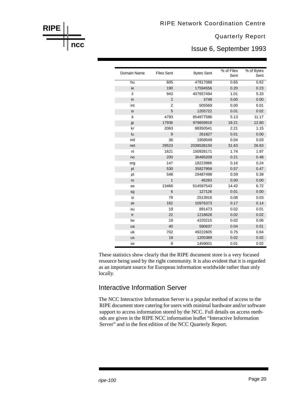Issue 6, September 1993

| Domain Name | <b>Files Sent</b> | <b>Bytes Sent</b> | % of Files<br>Sent | % of Bytes<br>Sent |
|-------------|-------------------|-------------------|--------------------|--------------------|
| hu          | 605               | 47817088          | 0.65               | 0.62               |
| ie          | 190               | 17594556          | 0.20               | 0.23               |
| il          | 943               | 407657494         | 1.01               | 5.33               |
| in          | $\overline{2}$    | 3748              | 0.00               | 0.00               |
| int         | $\overline{2}$    | 505569            | 0.00               | 0.01               |
| is          | 5                 | 1205722           | 0.01               | 0.02               |
| it          | 4793              | 854877586         | 5.13               | 11.17              |
| jp          | 17936             | 979659916         | 19.21              | 12.80              |
| kr          | 2063              | 88350541          | 2.21               | 1.15               |
| lu          | 9                 | 261827            | 0.01               | 0.00               |
| mil         | 36                | 1958049           | 0.04               | 0.03               |
| net         | 29523             | 2038538150        | 31.63              | 26.63              |
| nl          | 1621              | 150928171         | 1.74               | 1.97               |
| no          | 200               | 36485209          | 0.21               | 0.48               |
| org         | 147               | 18223986          | 0.16               | 0.24               |
| pl          | 530               | 35827958          | 0.57               | 0.47               |
| pt          | 548               | 29487498          | 0.59               | 0.39               |
| ro          | 1                 | 46283             | 0.00               | 0.00               |
| se          | 13466             | 514597543         | 14.42              | 6.72               |
| sg          | 6                 | 127126            | 0.01               | 0.00               |
| si          | 79                | 2513916           | 0.08               | 0.03               |
| sk          | 162               | 10976373          | 0.17               | 0.14               |
| su          | 19                | 891473            | 0.02               | 0.01               |
| tr          | 22                | 1218628           | 0.02               | 0.02               |
| tw          | 19                | 4220215           | 0.02               | 0.06               |
| ua          | 40                | 590637            | 0.04               | 0.01               |
| uk          | 702               | 49222605          | 0.75               | 0.64               |
| <b>us</b>   | 19                | 1205389           | 0.02               | 0.02               |
| ve          | 9                 | 1459001           | 0.01               | 0.02               |

These statistics show clearly that the RIPE document store is a very focused resource being used by the right community. It is also evident that it is regarded as an important source for European information worldwide rather than only locally.

#### Interactive Information Server

The NCC Interactive Information Server is a popular method of access to the RIPE document store catering for users with minimal hardware and/or software support to access information stored by the NCC. Full details on access methods are given in the RIPE NCC information leaflet "Interactive Information Server" and in the first edition of the NCC Quarterly Report.

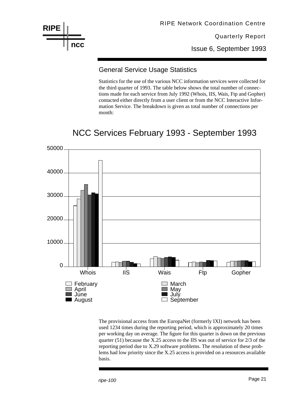

RIPE Network Coordination Centre

Quarterly Report

Issue 6, September 1993

#### General Service Usage Statistics

Statistics for the use of the various NCC information services were collected for the third quarter of 1993. The table below shows the total number of connections made for each service from July 1992 (Whois, IIS, Wais, Ftp and Gopher) contacted either directly from a user client or from the NCC Interactive Information Service. The breakdown is given as total number of connections per month:

## NCC Services February 1993 - September 1993



The provisional access from the EuropaNet (formerly IXI) network has been used 1234 times during the reporting period, which is approximately 20 times per working day on average. The figure for this quarter is down on the previous quarter (51) because the X.25 access to the IIS was out of service for 2/3 of the reporting period due to X.29 software problems. The resolution of these problems had low priority since the X.25 access is provided on a resources available basis.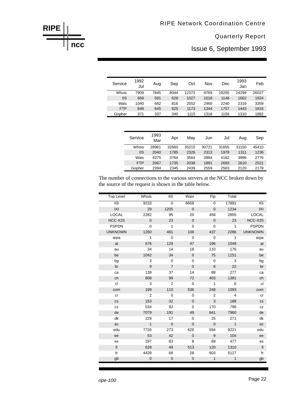Issue 6, September 1993

| Service    | 1992<br>Jul | Aug  | Sep  | Oct   | Nov  | Dec   | 1993<br>Jan | Feb   |
|------------|-------------|------|------|-------|------|-------|-------------|-------|
| Whois      | 7909        | 7845 | 8044 | 12373 | 9769 | 19255 | 24299       | 26027 |
| <b>IIS</b> | 669         | 591  | 628  | 1027  | 1018 | 1148  | 1662        | 1924  |
| Wais       | 1040        | 682  | 816  | 2552  | 2460 | 2240  | 2316        | 3359  |
| <b>FTP</b> | 849         | 645  | 625  | 1173  | 1344 | 1757  | 1443        | 1816  |
| Gopher     | 371         | 337  | 340  | 1115  | 1318 | 1156  | 1310        | 1882  |

| Service    | 1993<br>Mar | Apr   | Mav   | Jun   | Jul   | Aua   | Sep   |
|------------|-------------|-------|-------|-------|-------|-------|-------|
| Whois      | 28961       | 32660 | 35215 | 30721 | 31655 | 31150 | 45410 |
| <b>IIS</b> | 2040        | 1785  | 2326  | 2313  | 1978  | 1311  | 1236  |
| Wais       | 4375        | 3764  | 3564  | 3994  | 4162  | 3996  | 2776  |
| <b>FTP</b> | 2067        | 1735  | 2038  | 1891  | 2693  | 2610  | 2521  |
| Gopher     | 2394        | 2345  | 2439  | 2559  | 2563  | 2120  | 2178  |

The number of connections to the various servers at the NCC broken down by the source of the request is shown in the table below.

| <b>Top Level</b>       | Whois          | <b>IIS</b>     | Wais         | Ftp            | Total        |                          |
|------------------------|----------------|----------------|--------------|----------------|--------------|--------------------------|
| $\overline{\text{II}}$ | 9233           | $\overline{0}$ | 8658         | $\overline{0}$ | 17891        | $\overline{\text{II}}$ s |
| IXI                    | 29             | 1205           | $\mathbf{0}$ | $\mathbf 0$    | 1234         | X                        |
| <b>LOCAL</b>           | 2282           | 95             | 20           | 458            | 2855         | <b>LOCAL</b>             |
| NCC-X25                | $\mathbf 0$    | 23             | $\mathbf 0$  | $\mathbf 0$    | 23           | NCC-X25                  |
| <b>PSPDN</b>           | $\mathbf 0$    | $\mathbf{1}$   | $\mathbf 0$  | $\mathbf 0$    | $\mathbf{1}$ | <b>PSPDN</b>             |
| <b>UNKNOWN</b>         | 1260           | 481            | 108          | 437            | 2286         | <b>UNKNOWN</b>           |
| arpa                   | $\mathbf{1}$   | $\mathbf 0$    | $\mathbf 0$  | 0              | $\mathbf{1}$ | arpa                     |
| at                     | 676            | 129            | 47           | 196            | 1048         | at                       |
| au                     | 34             | 14             | 18           | 110            | 176          | au                       |
| be                     | 1042           | 34             | $\mathbf 0$  | 75             | 1151         | be                       |
| bg                     | 3              | 0              | 0            | 0              | 3            | bg                       |
| br                     | 9              | $\overline{7}$ | $\mathbf 0$  | 6              | 22           | br                       |
| ca                     | 138            | 37             | 14           | 88             | 277          | ca                       |
| ch                     | 808            | 98             | 72           | 403            | 1381         | ch                       |
| cl                     | 3              | 2              | $\pmb{0}$    | $\mathbf{1}$   | 6            | cl                       |
| com                    | 199            | 110            | 536          | 248            | 1093         | com                      |
| cr                     | 2              | $\mathbf 0$    | 0            | 2              | 4            | cr                       |
| <b>CS</b>              | 153            | 32             | $\mathbf{0}$ | 3              | 188          | <b>CS</b>                |
| CZ                     | 534            | 92             | 0            | 170            | 796          | CZ                       |
| de                     | 7079           | 191            | 49           | 641            | 7960         | de                       |
| dk                     | 229            | 17             | $\mathbf 0$  | 25             | 271          | dk                       |
| ec                     | $\mathbf{1}$   | $\overline{0}$ | $\mathbf 0$  | $\mathbf 0$    | $\mathbf{1}$ | ec                       |
| edu                    | 7726           | 273            | 628          | 594            | 9221         | edu                      |
| ee                     | 53             | 42             | $\mathbf{0}$ | 9              | 104          | ee                       |
| es                     | 297            | 83             | 8            | 89             | 477          | es                       |
| fi                     | 628            | 49             | 513          | 120            | 1310         | fi                       |
| fr                     | 4428           | 68             | 28           | 603            | 5127         | fr                       |
| gb                     | $\overline{0}$ | $\mathbf 0$    | $\mathbf 0$  | $\mathbf{1}$   | $\mathbf{1}$ | gb                       |

**RIPE**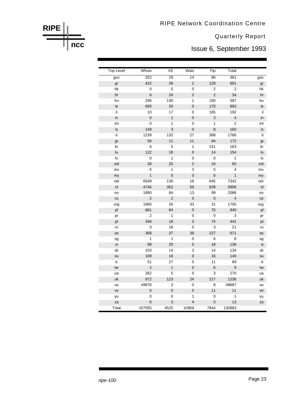RIPE Network Coordination Centre

Quarterly Report

Issue 6, September 1993

| <b>Top Level</b> | Whois          | <b>IIS</b>   | Wais           | Ftp            | Total        |     |
|------------------|----------------|--------------|----------------|----------------|--------------|-----|
| gov              | 252            | 29           | 14             | 86             | 381          | gov |
| gr               | 422            | 39           | $\overline{2}$ | 228            | 691          | gr  |
| hk               | 0              | 0            | 0              | $\overline{2}$ | 2            | hk  |
| hr               | 6              | 24           | $\overline{2}$ | $\overline{c}$ | 34           | hr  |
| hu               | 296            | 130          | 1              | 160            | 587          | hu  |
| ie               | 693            | 30           | $\mathsf 0$    | 170            | 893          | ie  |
| il               | 10             | 17           | 0              | 165            | 192          | -il |
| in               | $\mathbf 0$    | $\mathbf{1}$ | $\mathbf 0$    | 3              | 4            | in  |
| int              | 0              | 1            | 0              | 1              | 2            | int |
| is               | 149            | 3            | $\mathbf 0$    | 8              | 160          | is  |
| it               | 1239           | 132          | 27             | 368            | 1766         | it  |
| jp               | 56             | 11           | 11             | 94             | 172          | jp  |
| kr               | 6              | 5            | 1              | 151            | 163          | kr  |
| lu               | 122            | 18           | $\mathbf 0$    | 14             | 154          | lu  |
| lv               | 0              | 1            | 0              | $\pmb{0}$      | 1            | lv  |
| mil              | 28             | 25           | $\overline{2}$ | 10             | 65           | mil |
| mx               | 0              | 1            | 3              | $\mathbf 0$    | 4            | mx  |
| my               | $\mathbf{1}$   | $\mathbf 0$  | $\mathbf 0$    | $\mathbf 0$    | $\mathbf{1}$ | my  |
| net              | 6549           | 130          | 18             | 645            | 7342         | net |
| nl               | 4746           | 362          | 59             | 639            | 5806         | nl  |
| no               | 1890           | 84           | 13             | 99             | 2086         | no  |
| nz               | $\mathbf 2$    | $\mathbf 2$  | $\mathsf 0$    | $\pmb{0}$      | 4            | nz  |
| org              | 1665           | 26           | 33             | 31             | 1755         | org |
| pl               | 681            | 84           | $\pmb{0}$      | 75             | 840          | pl  |
| pr               | 2              | 1            | 0              | $\pmb{0}$      | 3            | pr  |
| pt               | 346            | 18           | 3              | 74             | 441          | pt  |
| ro               | 0              | 18           | 0              | 3              | 21           | ro  |
| se               | 368            | 37           | 39             | 227            | 671          | se  |
| sg               | $\mathbf 1$    | $\mathbf{1}$ | 0              | 6              | 8            | sg  |
| si               | 98             | 20           | $\mathsf 0$    | 18             | 136          | si  |
| sk               | 103            | 14           | 3              | 14             | 134          | sk  |
| su               | 108            | 16           | $\pmb{0}$      | 16             | 140          | su  |
| tr               | 51             | 27           | 0              | 11             | 89           | tr  |
| tw               | $\overline{c}$ | $\mathbf{1}$ | $\mathbf 0$    | 6              | 9            | tw  |
| ua               | 262            | 5            | 0              | 3              | 270          | ua  |
| uk               | 872            | 123          | 24             | 217            | 1236         | uk  |
| us               | 49676          | 3            | 0              | 8              | 49687        | us  |
| ve               | 0              | $\pmb{0}$    | $\mathbf 0$    | 11             | 11           | ve  |
| yu               | 0              | 0            | 1              | 0              | 1            | yu  |
| za               | 6              | 3            | $\overline{4}$ | $\mathbf 0$    | 13           | za  |
| Total            | 107555         | 4525         | 10959          | 7844           | 130883       |     |

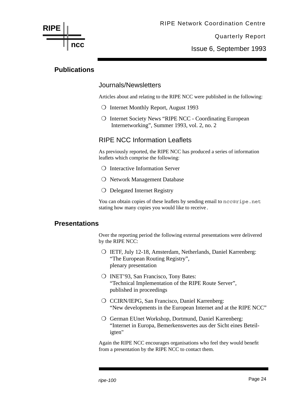

Issue 6, September 1993

#### **Publications**

#### Journals/Newsletters

Articles about and relating to the RIPE NCC were published in the following:

- ❍ Internet Monthly Report, August 1993
- ❍ Internet Society News "RIPE NCC Coordinating European Internetworking", Summer 1993, vol. 2, no. 2

#### RIPE NCC Information Leaflets

As previously reported, the RIPE NCC has produced a series of information leaflets which comprise the following:

- ❍ Interactive Information Server
- ❍ Network Management Database
- ❍ Delegated Internet Registry

You can obtain copies of these leaflets by sending email to ncc@ripe.net stating how many copies you would like to receive.

#### **Presentations**

Over the reporting period the following external presentations were delivered by the RIPE NCC:

- ❍ IETF, July 12-18, Amsterdam, Netherlands, Daniel Karrenberg: "The European Routing Registry", plenary presentation
- ❍ INET'93, San Francisco, Tony Bates: "Technical Implementation of the RIPE Route Server", published in proceedings
- ❍ CCIRN/IEPG, San Francisco, Daniel Karrenberg: "New developments in the European Internet and at the RIPE NCC"
- ❍ German EUnet Workshop, Dortmund, Daniel Karrenberg: "Internet in Europa, Bemerkenswertes aus der Sicht eines Beteiligten"

Again the RIPE NCC encourages organisations who feel they would benefit from a presentation by the RIPE NCC to contact them.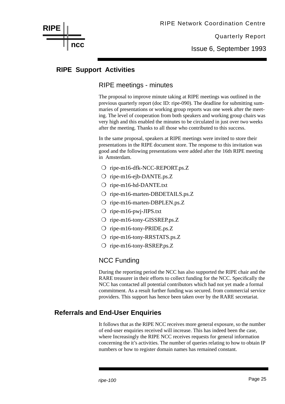Issue 6, September 1993

#### **RIPE Support Activities**

**ncc**

**RIPE**

#### RIPE meetings - minutes

The proposal to improve minute taking at RIPE meetings was outlined in the previous quarterly report (doc ID: ripe-090). The deadline for submitting summaries of presentations or working group reports was one week after the meeting. The level of cooperation from both speakers and working group chairs was very high and this enabled the minutes to be circulated in just over two weeks after the meeting. Thanks to all those who contributed to this success.

In the same proposal, speakers at RIPE meetings were invited to store their presentations in the RIPE document store. The response to this invitation was good and the following presentations were added after the 16th RIPE meeting in Amsterdam.

- ❍ ripe-m16-dfk-NCC-REPORT.ps.Z
- ❍ ripe-m16-ejb-DANTE.ps.Z
- ❍ ripe-m16-hd-DANTE.txt
- ❍ ripe-m16-marten-DBDETAILS.ps.Z
- ❍ ripe-m16-marten-DBPLEN.ps.Z
- ❍ ripe-m16-pwj-JIPS.txt
- ❍ ripe-m16-tony-GISSREP.ps.Z
- ❍ ripe-m16-tony-PRIDE.ps.Z
- ❍ ripe-m16-tony-RRSTATS.ps.Z
- ❍ ripe-m16-tony-RSREP.ps.Z

#### NCC Funding

During the reporting period the NCC has also supported the RIPE chair and the RARE treasurer in their efforts to collect funding for the NCC. Specifically the NCC has contacted all potential contributors which had not yet made a formal commitment. As a result further funding was secured. from commercial service providers. This support has hence been taken over by the RARE secretariat.

#### **Referrals and End-User Enquiries**

It follows that as the RIPE NCC receives more general exposure, so the number of end-user enquiries received will increase. This has indeed been the case, where Increasingly the RIPE NCC receives requests for general information concerning the it's activities. The number of queries relating to how to obtain IP numbers or how to register domain names has remained constant.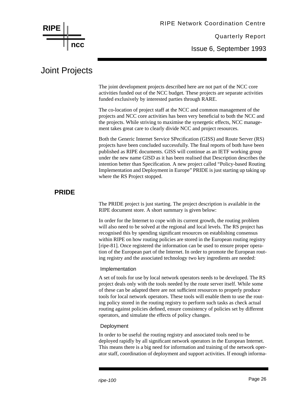

Issue 6, September 1993

## Joint Projects

The joint development projects described here are not part of the NCC core activities funded out of the NCC budget. These projects are separate activities funded exclusively by interested parties through RARE.

The co-location of project staff at the NCC and common management of the projects and NCC core activities has been very beneficial to both the NCC and the projects. While striving to maximise the synergetic effects, NCC management takes great care to clearly divide NCC and project resources.

Both the Generic Internet Service SPecification (GISS) and Route Server (RS) projects have been concluded successfully. The final reports of both have been published as RIPE documents. GISS will continue as an IETF working group under the new name GISD as it has been realised that Description describes the intention better than Specification. A new project called "Policy-based Routing Implementation and Deployment in Europe" PRIDE is just starting up taking up where the RS Project stopped.

#### **PRIDE**

The PRIDE project is just starting. The project description is available in the RIPE document store. A short summary is given below:

In order for the Internet to cope with its current growth, the routing problem will also need to be solved at the regional and local levels. The RS project has recognised this by spending significant resources on establishing consensus within RIPE on how routing policies are stored in the European routing registry [ripe-81]. Once registered the information can be used to ensure proper operation of the European part of the Internet. In order to promote the European routing registry and the associated technology two key ingredients are needed:

#### Implementation

A set of tools for use by local network operators needs to be developed. The RS project deals only with the tools needed by the route server itself. While some of these can be adapted there are not sufficient resources to properly produce tools for local network operators. These tools will enable them to use the routing policy stored in the routing registry to perform such tasks as check actual routing against policies defined, ensure consistency of policies set by different operators, and simulate the effects of policy changes.

#### Deployment

In order to be useful the routing registry and associated tools need to be deployed rapidly by all significant network operators in the European Internet. This means there is a big need for information and training of the network operator staff, coordination of deployment and support activities. If enough informa-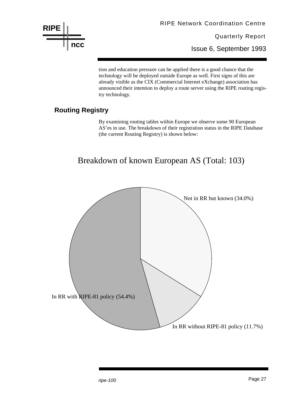

RIPE Network Coordination Centre

Quarterly Report

Issue 6, September 1993

tion and education pressure can be applied there is a good chance that the technology will be deployed outside Europe as well. First signs of this are already visible as the CIX (Commercial Internet eXchange) association has announced their intention to deploy a route server using the RIPE routing registry technology.

#### **Routing Registry**

By examining routing tables within Europe we observe some 90 European AS'es in use. The breakdown of their registration status in the RIPE Database (the current Routing Registry) is shown below:

## Breakdown of known European AS (Total: 103)

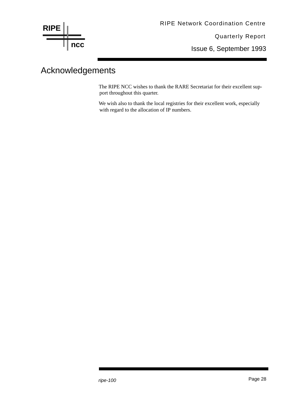

Issue 6, September 1993

## Acknowledgements

The RIPE NCC wishes to thank the RARE Secretariat for their excellent support throughout this quarter.

We wish also to thank the local registries for their excellent work, especially with regard to the allocation of IP numbers.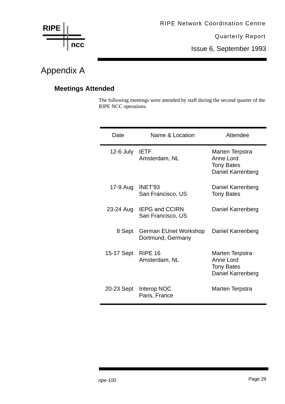

Issue 6, September 1993

## Appendix A

#### **Meetings Attended**

The following meetings were attended by staff during the second quarter of the RIPE NCC operations.

| Date        | Name & Location                            | Attendee                                                               |
|-------------|--------------------------------------------|------------------------------------------------------------------------|
| $12-6$ July | <b>IETF</b><br>Amsterdam, NL               | Marten Terpstra<br>Anne Lord<br><b>Tony Bates</b><br>Daniel Karrenberg |
| 17-9 Aug    | INET'93<br>San Francisco, US               | Daniel Karrenberg<br><b>Tony Bates</b>                                 |
| 23-24 Aug   | <b>IEPG and CCIRN</b><br>San Francisco, US | Daniel Karrenberg                                                      |
| 8 Sept      | German EUnet Workshop<br>Dortmund, Germany | Daniel Karrenberg                                                      |
| 15-17 Sept  | <b>RIPE 16</b><br>Amsterdam, NL            | Marten Terpstra<br>Anne Lord<br><b>Tony Bates</b><br>Daniel Karrenberg |
| 20-23 Sept  | Interop NOC<br>Paris, France               | Marten Terpstra                                                        |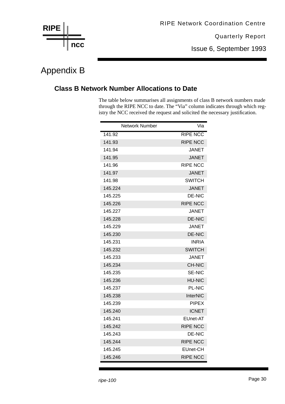

Issue 6, September 1993

## Appendix B

#### **Class B Network Number Allocations to Date**

The table below summarises all assignments of class B network numbers made through the RIPE NCC to date. The "Via" column indicates through which registry the NCC received the request and solicited the necessary justification.

| Network Number | Via             |
|----------------|-----------------|
| 141.92         | <b>RIPE NCC</b> |
| 141.93         | <b>RIPE NCC</b> |
| 141.94         | <b>JANET</b>    |
| 141.95         | <b>JANET</b>    |
| 141.96         | <b>RIPE NCC</b> |
| 141.97         | <b>JANET</b>    |
| 141.98         | <b>SWITCH</b>   |
| 145.224        | <b>JANET</b>    |
| 145.225        | <b>DE-NIC</b>   |
| 145.226        | <b>RIPE NCC</b> |
| 145.227        | <b>JANET</b>    |
| 145.228        | <b>DE-NIC</b>   |
| 145.229        | <b>JANET</b>    |
| 145.230        | <b>DE-NIC</b>   |
| 145.231        | INRIA           |
| 145.232        | <b>SWITCH</b>   |
| 145.233        | <b>JANET</b>    |
| 145.234        | <b>CH-NIC</b>   |
| 145.235        | <b>SE-NIC</b>   |
| 145.236        | <b>HU-NIC</b>   |
| 145.237        | <b>PL-NIC</b>   |
| 145.238        | <b>InterNIC</b> |
| 145.239        | <b>PIPEX</b>    |
| 145.240        | <b>ICNET</b>    |
| 145.241        | EUnet-AT        |
| 145.242        | <b>RIPE NCC</b> |
| 145.243        | DE-NIC          |
| 145.244        | <b>RIPE NCC</b> |
| 145.245        | EUnet-CH        |
| 145.246        | <b>RIPE NCC</b> |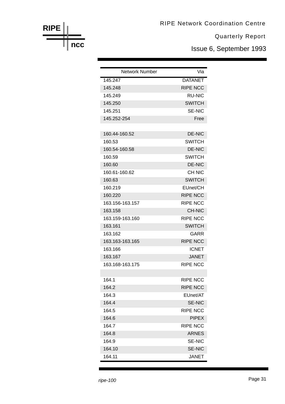Issue 6, September 1993

| <b>Network Number</b> | Via             |
|-----------------------|-----------------|
| 145.247               | <b>DATANET</b>  |
| 145.248               | <b>RIPE NCC</b> |
| 145.249               | <b>RU-NIC</b>   |
| 145.250               | <b>SWITCH</b>   |
| 145.251               | <b>SE-NIC</b>   |
| 145.252-254           | Free            |
|                       |                 |
| 160.44-160.52         | <b>DE-NIC</b>   |
| 160.53                | <b>SWITCH</b>   |
| 160.54-160.58         | <b>DE-NIC</b>   |
| 160.59                | <b>SWITCH</b>   |
| 160.60                | <b>DE-NIC</b>   |
| 160.61-160.62         | <b>CH NIC</b>   |
| 160.63                | <b>SWITCH</b>   |
| 160.219               | EUnet/CH        |
| 160.220               | <b>RIPE NCC</b> |
| 163.156-163.157       | <b>RIPE NCC</b> |
| 163.158               | <b>CH-NIC</b>   |
| 163.159-163.160       | <b>RIPE NCC</b> |
| 163.161               | <b>SWITCH</b>   |
| 163.162               | GARR            |
| 163.163-163.165       | <b>RIPE NCC</b> |
| 163.166               | <b>ICNET</b>    |
| 163.167               | <b>JANET</b>    |
| 163.168-163.175       | <b>RIPE NCC</b> |
|                       |                 |
| 164.1                 | <b>RIPE NCC</b> |
| 164.2                 | <b>RIPE NCC</b> |
| 164.3                 | EUnet/AT        |
| 164.4                 | <b>SE-NIC</b>   |
| 164.5                 | <b>RIPE NCC</b> |
| 164.6                 | <b>PIPEX</b>    |
| 164.7                 | <b>RIPE NCC</b> |
| 164.8                 | <b>ARNES</b>    |
| 164.9                 | <b>SE-NIC</b>   |
| 164.10                | <b>SE-NIC</b>   |
| 164.11                | <b>JANET</b>    |

**ncc**

**RIPE**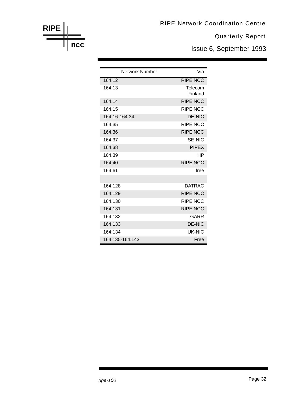Issue 6, September 1993

| <b>Network Number</b> | Via                |
|-----------------------|--------------------|
| 164.12                | <b>RIPE NCC</b>    |
| 164.13                | Telecom<br>Finland |
| 164.14                | <b>RIPE NCC</b>    |
| 164.15                | <b>RIPE NCC</b>    |
| 164.16-164.34         | DE-NIC             |
| 164.35                | <b>RIPE NCC</b>    |
| 164.36                | <b>RIPE NCC</b>    |
| 164.37                | <b>SE-NIC</b>      |
| 164.38                | <b>PIPEX</b>       |
| 164.39                | НP                 |
| 164.40                | <b>RIPE NCC</b>    |
| 164.61                | free               |
|                       |                    |
| 164.128               | <b>DATRAC</b>      |
| 164.129               | <b>RIPE NCC</b>    |
| 164.130               | <b>RIPE NCC</b>    |
| 164.131               | <b>RIPE NCC</b>    |
| 164.132               | GARR               |
| 164.133               | <b>DE-NIC</b>      |
| 164.134               | UK-NIC             |
| 164 135-164 143       | Free               |

**RIPE ncc**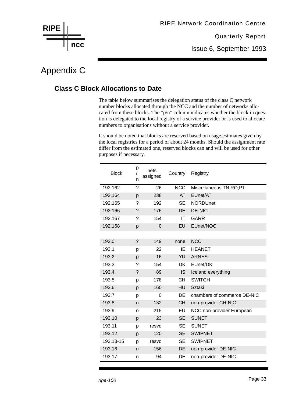

Issue 6, September 1993

## Appendix C

#### **Class C Block Allocations to Date**

The table below summarises the delegation status of the class C network number blocks allocated through the NCC and the number of networks allocated from these blocks. The "p/n" column indicates whether the block in question is delegated to the local registry of a service provider or is used to allocate numbers to organisations without a service provider.

It should be noted that blocks are reserved based on usage estimates given by the local registries for a period of about 24 months. Should the assignment rate differ from the estimated one, reserved blocks can and will be used for other purposes if necessary.

| <b>Block</b> | р<br>n | nets<br>assigned | Country                 | Registry                    |
|--------------|--------|------------------|-------------------------|-----------------------------|
| 192.162      | ?      | 26               | $\overline{\text{NCC}}$ | Miscellaneous TN, RO, PT    |
| 192.164      | p      | 238              | AT                      | EUnet/AT                    |
| 192.165      | ?      | 192              | <b>SE</b>               | <b>NORDUnet</b>             |
| 192.166      | ?      | 176              | <b>DE</b>               | <b>DE-NIC</b>               |
| 192.167      | ?      | 154              | IT                      | <b>GARR</b>                 |
| 192.168      | p      | $\Omega$         | EU                      | EUnet/NOC                   |
|              |        |                  |                         |                             |
| 193.0        | ?      | 149              | none                    | <b>NCC</b>                  |
| 193.1        | р      | 22               | IE                      | <b>HEANET</b>               |
| 193.2        | р      | 16               | YU                      | <b>ARNES</b>                |
| 193.3        | ?      | 154              | <b>DK</b>               | EUnet/DK                    |
| 193.4        | ?      | 89               | IS                      | Iceland everything          |
| 193.5        | p      | 178              | <b>CH</b>               | <b>SWITCH</b>               |
| 193.6        | p      | 160              | HU                      | <b>Sztaki</b>               |
| 193.7        | р      | 0                | DE                      | chambers of commerce DE-NIC |
| 193.8        | n      | 132              | <b>CH</b>               | non-provider CH-NIC         |
| 193.9        | n      | 215              | EU                      | NCC non-provider European   |
| 193.10       | p      | 23               | <b>SE</b>               | <b>SUNET</b>                |
| 193.11       | р      | resvd            | <b>SE</b>               | <b>SUNET</b>                |
| 193.12       | p      | 120              | <b>SE</b>               | <b>SWIPNET</b>              |
| 193.13-15    | p      | resvd            | <b>SE</b>               | <b>SWIPNET</b>              |
| 193.16       | n      | 156              | <b>DE</b>               | non-provider DE-NIC         |
| 193.17       | n      | 94               | DE                      | non-provider DE-NIC         |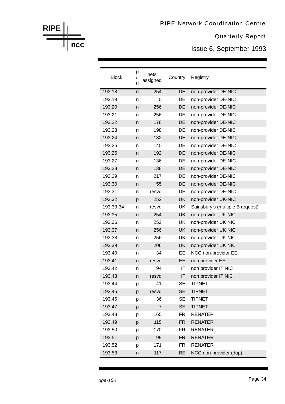Issue 6, September 1993

| <b>Block</b> | р<br>n | nets<br>assigned | Country   | Registry                         |
|--------------|--------|------------------|-----------|----------------------------------|
| 193.18       | n      | 254              | DE        | non-provider DE-NIC              |
| 193.19       | n      | 0                | DE        | non-provider DE-NIC              |
| 193.20       | n      | 256              | DE        | non-provider DE-NIC              |
| 193.21       | n      | 256              | DE        | non-provider DE-NIC              |
| 193.22       | n      | 178              | DE        | non-provider DE-NIC              |
| 193.23       | n      | 198              | DE        | non-provider DE-NIC              |
| 193.24       | n      | 132              | DE        | non-provider DE-NIC              |
| 193.25       | n      | 140              | DE        | non-provider DE-NIC              |
| 193.26       | n      | 192              | DE        | non-provider DE-NIC              |
| 193.27       | n      | 136              | DE        | non-provider DE-NIC              |
| 193.28       | n      | 138              | DE        | non-provider DE-NIC              |
| 193.29       | n      | 217              | DE        | non-provider DE-NIC              |
| 193.30       | n      | 55               | DE        | non-provider DE-NIC              |
| 193.31       | n      | resvd            | DE        | non-provider DE-NIC              |
| 193.32       | p      | 252              | UK        | non-provider UK-NIC              |
| 193.33-34    | n      | resvd            | UK        | Sainsbury's (multiple B request) |
| 193.35       | n      | 254              | UK        | non-provider UK NIC              |
| 193.36       | n      | 252              | UK        | non-provider UK NIC              |
| 193.37       | n      | 256              | <b>UK</b> | non-provider UK NIC              |
| 193.38       | n      | 256              | UK        | non-provider UK NIC              |
| 193.39       | n      | 206              | UK        | non-provider UK NIC              |
| 193.40       | n      | 34               | EE        | NCC non-provider EE              |
| 193.41       | n      | resvd            | EE        | non provider EE                  |
| 193.42       | n      | 94               | IT        | non provider IT NIC              |
| 193.43       | n      | resvd            | IT        | non provider IT NIC              |
| 193.44       | p      | 41               | <b>SE</b> | <b>TIPNET</b>                    |
| 193.45       | p      | resvd            | <b>SE</b> | <b>TIPNET</b>                    |
| 193.46       | p      | 36               | <b>SE</b> | <b>TIPNET</b>                    |
| 193.47       | р      | 7                | <b>SE</b> | <b>TIPNET</b>                    |
| 193.48       | р      | 165              | FR        | <b>RENATER</b>                   |
| 193.49       | р      | 115              | <b>FR</b> | <b>RENATER</b>                   |
| 193.50       | р      | 170              | <b>FR</b> | <b>RENATER</b>                   |
| 193.51       | p      | 99               | <b>FR</b> | <b>RENATER</b>                   |
| 193.52       | р      | 171              | FR        | <b>RENATER</b>                   |
| 193.53       | n      | 117              | <b>BE</b> | NCC non-provider (dup)           |

**ncc**

**RIPE**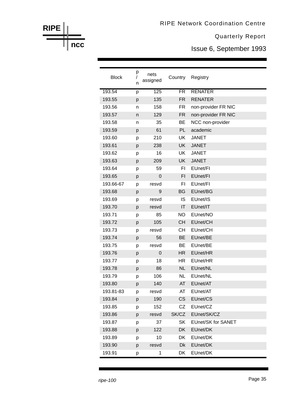Issue 6, September 1993

| <b>Block</b> | р<br>n | nets<br>assigned | Country                | Registry            |
|--------------|--------|------------------|------------------------|---------------------|
| 193.54       | p      | 125              | $\overline{\text{FR}}$ | <b>RENATER</b>      |
| 193.55       | p      | 135              | <b>FR</b>              | <b>RENATER</b>      |
| 193.56       | n      | 158              | FR.                    | non-provider FR NIC |
| 193.57       | n      | 129              | <b>FR</b>              | non-provider FR NIC |
| 193.58       | n      | 35               | ВE                     | NCC non-provider    |
| 193.59       | p      | 61               | <b>PL</b>              | academic            |
| 193.60       | p      | 210              | <b>UK</b>              | <b>JANET</b>        |
| 193.61       | p      | 238              | <b>UK</b>              | <b>JANET</b>        |
| 193.62       | р      | 16               | UK                     | <b>JANET</b>        |
| 193.63       | p      | 209              | <b>UK</b>              | <b>JANET</b>        |
| 193.64       | p      | 59               | FI                     | EUnet/FI            |
| 193.65       | p      | $\mathbf 0$      | F1                     | EUnet/FI            |
| 193.66-67    | p      | resvd            | FI                     | EUnet/FI            |
| 193.68       | p      | 9                | BG                     | EUnet/BG            |
| 193.69       | р      | resvd            | IS                     | EUnet/IS            |
| 193.70       | p      | resvd            | $\mathsf{I}\mathsf{T}$ | EUnet/IT            |
| 193.71       | p      | 85               | <b>NO</b>              | EUnet/NO            |
| 193.72       | p      | 105              | <b>CH</b>              | EUnet/CH            |
| 193.73       | p      | resvd            | <b>CH</b>              | EUnet/CH            |
| 193.74       | p      | 56               | BE                     | EUnet/BE            |
| 193.75       | р      | resvd            | ВE                     | EUnet/BE            |
| 193.76       | p      | $\mathbf 0$      | <b>HR</b>              | EUnet/HR            |
| 193.77       | р      | 18               | HR.                    | EUnet/HR            |
| 193.78       | p      | 86               | <b>NL</b>              | EUnet/NL            |
| 193.79       | p      | 106              | <b>NL</b>              | EUnet/NL            |
| 193.80       | p      | 140              | AT                     | EUnet/AT            |
| 193.81-83    | р      | resvd            | AT                     | EUnet/AT            |
| 193.84       | p      | 190              | <b>CS</b>              | EUnet/CS            |
| 193.85       | p      | 152              | CZ                     | EUnet/CZ            |
| 193.86       | p      | resvd            | SK/CZ                  | EUnet/SK/CZ         |
| 193.87       | р      | 37               | <b>SK</b>              | EUnet/SK for SANET  |
| 193.88       | p      | 122              | DK                     | EUnet/DK            |
| 193.89       | р      | 10               | DK                     | EUnet/DK            |
| 193.90       | p      | resvd            | Dk                     | EUnet/DK            |
| 193.91       | р      | 1                | DK                     | EUnet/DK            |

**RIPE**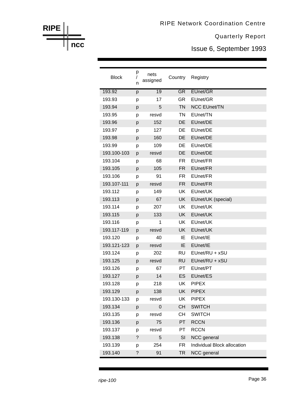Issue 6, September 1993

| <b>Block</b> | р<br>n             | nets<br>assigned | Country   | Registry                    |
|--------------|--------------------|------------------|-----------|-----------------------------|
| 193.92       | p                  | $\overline{19}$  | GR        | EUnet/GR                    |
| 193.93       | p                  | 17               | GR        | EUnet/GR                    |
| 193.94       | p                  | 5                | <b>TN</b> | <b>NCC EUnet/TN</b>         |
| 193.95       | р                  | resvd            | <b>TN</b> | EUnet/TN                    |
| 193.96       | p                  | 152              | DE        | EUnet/DE                    |
| 193.97       | р                  | 127              | DE        | EUnet/DE                    |
| 193.98       | p                  | 160              | DE        | EUnet/DE                    |
| 193.99       | p                  | 109              | DE        | EUnet/DE                    |
| 193.100-103  | p                  | resvd            | DE        | EUnet/DE                    |
| 193.104      | р                  | 68               | FR        | EUnet/FR                    |
| 193.105      | p                  | 105              | <b>FR</b> | EUnet/FR                    |
| 193.106      | р                  | 91               | FR.       | EUnet/FR                    |
| 193.107-111  | p                  | resvd            | <b>FR</b> | EUnet/FR                    |
| 193.112      | p                  | 149              | UK        | EUnet/UK                    |
| 193.113      | p                  | 67               | <b>UK</b> | EUnet/UK (special)          |
| 193.114      | р                  | 207              | <b>UK</b> | EUnet/UK                    |
| 193.115      | p                  | 133              | UK        | EUnet/UK                    |
| 193.116      | р                  | 1                | UK        | EUnet/UK                    |
| 193.117-119  | p                  | resvd            | <b>UK</b> | EUnet/UK                    |
| 193.120      | p                  | 40               | IE        | EUnet/IE                    |
| 193.121-123  | p                  | resvd            | IE        | EUnet/IE                    |
| 193.124      | р                  | 202              | <b>RU</b> | EUnet/RU + xSU              |
| 193.125      | p                  | resvd            | <b>RU</b> | EUnet/RU + xSU              |
| 193.126      | р                  | 67               | PT        | EUnet/PT                    |
| 193.127      | p                  | 14               | ES        | EUnet/ES                    |
| 193.128      | р                  | 218              | UK        | <b>PIPEX</b>                |
| 193.129      | p                  | 138              | UK        | <b>PIPEX</b>                |
| 193.130-133  | р                  | resvd            | UK        | <b>PIPEX</b>                |
| 193.134      | p                  | 0                | <b>CH</b> | <b>SWITCH</b>               |
| 193.135      | p                  | resvd            | СH        | <b>SWITCH</b>               |
| 193.136      | p                  | 75               | PT        | <b>RCCN</b>                 |
| 193.137      | p                  | resvd            | PT        | <b>RCCN</b>                 |
| 193.138      | $\overline{\cdot}$ | 5                | SI        | NCC general                 |
| 193.139      | р                  | 254              | FR        | Individual Block allocation |
| 193.140      | ?                  | 91               | <b>TR</b> | NCC general                 |

**RIPE**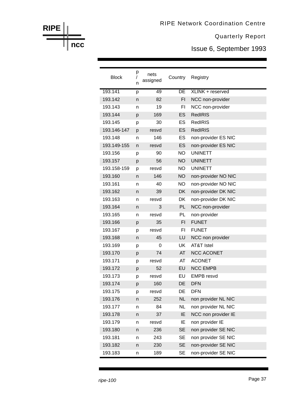Issue 6, September 1993

| <b>Block</b> | р<br>n | nets<br>assigned | Country   | Registry              |
|--------------|--------|------------------|-----------|-----------------------|
| 193.141      | p      | 49               | DE        | XLINK + reserved      |
| 193.142      | n      | 82               | FI        | NCC non-provider      |
| 193.143      | n      | 19               | FI        | NCC non-provider      |
| 193.144      | p      | 169              | ES        | <b>RedIRIS</b>        |
| 193.145      | p      | 30               | ES        | <b>RedIRIS</b>        |
| 193.146-147  | p      | resvd            | ES        | <b>RedIRIS</b>        |
| 193.148      | n      | 146              | ES        | non-provider ES NIC   |
| 193.149-155  | n      | resvd            | ES        | non-provider ES NIC   |
| 193.156      | р      | 90               | <b>NO</b> | <b>UNINETT</b>        |
| 193.157      | p      | 56               | <b>NO</b> | <b>UNINETT</b>        |
| 193.158-159  | р      | resvd            | NO.       | <b>UNINETT</b>        |
| 193.160      | n      | 146              | <b>NO</b> | non-provider NO NIC   |
| 193.161      | n      | 40               | <b>NO</b> | non-provider NO NIC   |
| 193.162      | n      | 39               | <b>DK</b> | non-provider DK NIC   |
| 193.163      | n      | resvd            | <b>DK</b> | non-provider DK NIC   |
| 193.164      | n      | 3                | PL        | NCC non-provider      |
| 193.165      | n      | resvd            | PL        | non-provider          |
| 193.166      | p      | 35               | F1        | <b>FUNET</b>          |
| 193.167      | р      | resvd            | FI        | <b>FUNET</b>          |
| 193.168      | n      | 45               | LU        | NCC non provider      |
| 193.169      | р      | 0                | <b>UK</b> | <b>AT&amp;T Istel</b> |
| 193.170      | p      | 74               | AT        | <b>NCC ACONET</b>     |
| 193.171      | р      | resvd            | AT        | <b>ACONET</b>         |
| 193.172      | р      | 52               | EU        | <b>NCC EMPB</b>       |
| 193.173      | p      | resvd            | EU        | <b>EMPB</b> resvd     |
| 193.174      | p      | 160              | DE        | <b>DFN</b>            |
| 193.175      | p      | resvd            | DE        | <b>DFN</b>            |
| 193.176      | n      | 252              | <b>NL</b> | non provider NL NIC   |
| 193.177      | n      | 84               | <b>NL</b> | non provider NL NIC   |
| 193.178      | n      | 37               | IE        | NCC non provider IE   |
| 193.179      | n      | resvd            | ΙE        | non provider IE       |
| 193.180      | n      | 236              | <b>SE</b> | non provider SE NIC   |
| 193.181      | n      | 243              | SE        | non provider SE NIC   |
| 193.182      | n      | 230              | <b>SE</b> | non-provider SE NIC   |
| 193.183      | n      | 189              | <b>SE</b> | non-provider SE NIC   |

**RIPE**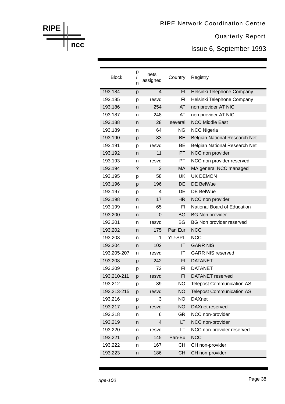Issue 6, September 1993

| <b>Block</b> | р<br>n      | nets<br>assigned         | Country       | Registry                         |
|--------------|-------------|--------------------------|---------------|----------------------------------|
| 193.184      | p           | 4                        | FI            | Helsinki Telephone Company       |
| 193.185      | р           | resvd                    | FI            | Helsinki Telephone Company       |
| 193.186      | n           | 254                      | AT            | non provider AT NIC              |
| 193.187      | n           | 248                      | AT            | non provider AT NIC              |
| 193.188      | n           | 28                       | several       | <b>NCC Middle East</b>           |
| 193.189      | n           | 64                       | ΝG            | <b>NCC Nigeria</b>               |
| 193.190      | p           | 83                       | <b>BE</b>     | Belgian National Research Net    |
| 193.191      | р           | resvd                    | ВE            | Belgian National Research Net    |
| 193.192      | n           | 11                       | PT            | NCC non provider                 |
| 193.193      | n           | resvd                    | PT            | NCC non provider reserved        |
| 193.194      | $\tilde{?}$ | 3                        | МA            | MA general NCC managed           |
| 193.195      | р           | 58                       | UK            | <b>UK DEMON</b>                  |
| 193.196      | p           | 196                      | DE            | DE BelWue                        |
| 193.197      | р           | 4                        | DE            | DE BelWue                        |
| 193.198      | n           | 17                       | <b>HR</b>     | NCC non provider                 |
| 193.199      | n           | 65                       | FI            | National Board of Education      |
| 193.200      | n           | $\Omega$                 | <b>BG</b>     | <b>BG Non provider</b>           |
| 193.201      | n           | resvd                    | BG            | <b>BG Non provider reserved</b>  |
| 193.202      | n           | 175                      | Pan Eur       | <b>NCC</b>                       |
| 193.203      | n           | 1                        | <b>YU-SPL</b> | <b>NCC</b>                       |
| 193.204      | n           | 102                      | IT            | <b>GARR NIS</b>                  |
| 193.205-207  | n           | resvd                    | ΙT            | <b>GARR NIS reserved</b>         |
| 193.208      | p           | 242                      | FI            | <b>DATANET</b>                   |
| 193.209      | р           | 72                       | FI            | <b>DATANET</b>                   |
| 193.210-211  | p           | resvd                    | FI            | DATANET reserved                 |
| 193.212      | р           | 39                       | <b>NO</b>     | <b>Telepost Communication AS</b> |
| 192.213-215  | p           | resvd                    | <b>NO</b>     | <b>Telepost Communication AS</b> |
| 193.216      | p           | 3                        | <b>NO</b>     | <b>DAXnet</b>                    |
| 193.217      | p           | resvd                    | <b>NO</b>     | DAXnet reserved                  |
| 193.218      | n           | 6                        | <b>GR</b>     | NCC non-provider                 |
| 193.219      | n           | $\overline{\mathcal{A}}$ | LT            | NCC non-provider                 |
| 193.220      | n           | resvd                    | LT            | NCC non-provider reserved        |
| 193.221      | p           | 145                      | Pan-Eu        | <b>NCC</b>                       |
| 193.222      | n           | 167                      | <b>CH</b>     | CH non-provider                  |
| 193.223      | n           | 186                      | <b>CH</b>     | CH non-provider                  |

**RIPE**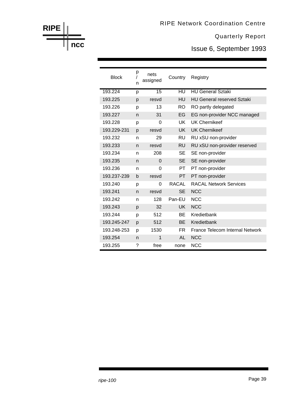Issue 6, September 1993

| <b>Block</b> | р<br>n | nets<br>assigned | Country        | Registry                          |
|--------------|--------|------------------|----------------|-----------------------------------|
| 193.224      | р      | 15               | H <sub>U</sub> | <b>HU General Sztaki</b>          |
| 193.225      | р      | resvd            | HU             | <b>HU General reserved Sztaki</b> |
| 193.226      | р      | 13               | <b>RO</b>      | RO partly delegated               |
| 193.227      | n      | 31               | EG             | EG non-provider NCC managed       |
| 193.228      | р      | ი                | UK             | <b>UK Chernikeef</b>              |
| 193.229-231  | p      | resvd            | UK -           | <b>UK Chernikeef</b>              |
| 193.232      | n      | 29               | RU             | RU xSU non-provider               |
| 193.233      | n      | resvd            | RU             | RU xSU non-provider reserved      |
| 193.234      | n      | 208              | SЕ             | SE non-provider                   |
| 193.235      | n      | $\Omega$         | <b>SE</b>      | SE non-provider                   |
| 193.236      | n      | 0                | PT             | PT non-provider                   |
| 193.237-239  | b      | resvd            | <b>PT</b>      | PT non-provider                   |
| 193.240      | р      | 0                | RACAL          | <b>RACAL Network Services</b>     |
| 193.241      | n      | resvd            | <b>SE</b>      | <b>NCC</b>                        |
| 193.242      | n      | 128              | Pan-EU         | <b>NCC</b>                        |
| 193.243      | p      | 32               | <b>UK</b>      | <b>NCC</b>                        |
| 193.244      | р      | 512              | <b>BE</b>      | Kredietbank                       |
| 193.245-247  | p      | 512              | <b>BE</b>      | Kredietbank                       |
| 193.248-253  | p      | 1530             | FR.            | France Telecom Internal Network   |
| 193.254      | n      | 1                | AL             | <b>NCC</b>                        |
| 193.255      | ?      | free             | none           | <b>NCC</b>                        |

**RIPE**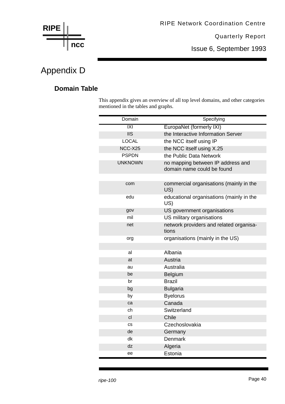

Issue 6, September 1993

## Appendix D

#### **Domain Table**

This appendix gives an overview of all top level domains, and other categories mentioned in the tables and graphs.

| Domain         | Specifying                                                      |
|----------------|-----------------------------------------------------------------|
| IXI            | EuropaNet (formerly IXI)                                        |
| <b>IIS</b>     | the Interactive Information Server                              |
| <b>LOCAL</b>   | the NCC itself using IP                                         |
| NCC-X25        | the NCC itself using X.25                                       |
| <b>PSPDN</b>   | the Public Data Network                                         |
| <b>UNKNOWN</b> | no mapping between IP address and<br>domain name could be found |
|                |                                                                 |
| com            | commercial organisations (mainly in the<br>US)                  |
| edu            | educational organisations (mainly in the<br>US)                 |
| gov            | US government organisations                                     |
| mil            | US military organisations                                       |
| net            | network providers and related organisa-<br>tions                |
| org            | organisations (mainly in the US)                                |
|                |                                                                 |
| al             | Albania                                                         |
| at             | Austria                                                         |
| au             | Australia                                                       |
| be             | Belgium                                                         |
| br             | <b>Brazil</b>                                                   |
| bg             | <b>Bulgaria</b>                                                 |
| by             | <b>Byelorus</b>                                                 |
| ca             | Canada                                                          |
| ch             | Switzerland                                                     |
| cl             | Chile                                                           |
| <b>CS</b>      | Czechoslovakia                                                  |
| de             | Germany                                                         |
| dk             | <b>Denmark</b>                                                  |
| dz             | Algeria                                                         |
| ee             | Estonia                                                         |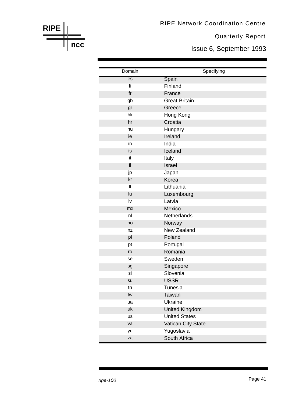RIPE Network Coordination Centre

Quarterly Report

Issue 6, September 1993

| Domain         | Specifying            |
|----------------|-----------------------|
| es             | Spain                 |
| fi             | Finland               |
| f <sub>r</sub> | France                |
| gb             | <b>Great-Britain</b>  |
| gr             | Greece                |
| hk             | Hong Kong             |
| hr             | Croatia               |
| hu             | Hungary               |
| ie             | Ireland               |
| in             | India                 |
| is             | Iceland               |
| it             | Italy                 |
| il             | Israel                |
| jp             | Japan                 |
| kr             | Korea                 |
| It             | Lithuania             |
| lu             | Luxembourg            |
| Iv             | Latvia                |
| mx             | Mexico                |
| n <sub>l</sub> | Netherlands           |
| no             | Norway                |
| nz             | New Zealand           |
| pl             | Poland                |
| pt             | Portugal              |
| ro             | Romania               |
| se             | Sweden                |
| sg             | Singapore             |
| si             | Slovenia              |
| su             | <b>USSR</b>           |
| tn             | <b>Tunesia</b>        |
| tw             | Taiwan                |
| ua             | <b>Ukraine</b>        |
| uk             | <b>United Kingdom</b> |
| us             | <b>United States</b>  |
| va             | Vatican City State    |
| yu             | Yugoslavia            |
| za             | South Africa          |

**RIPE**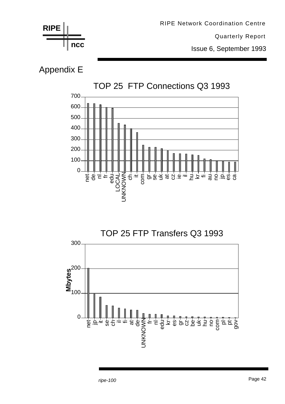

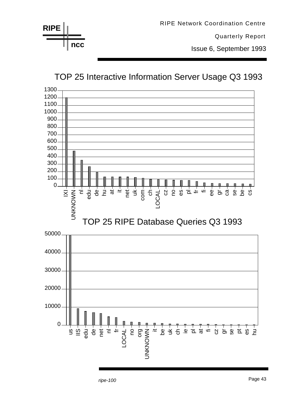

## TOP 25 Interactive Information Server Usage Q3 1993

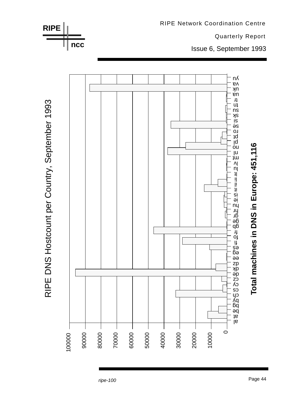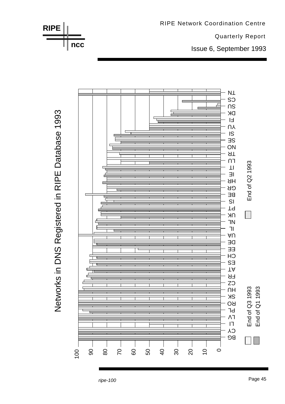

RIPE Network Coordination Centre

Networks in DNS Registered in RIPE Database 1993

Page 45 *ripe-100*